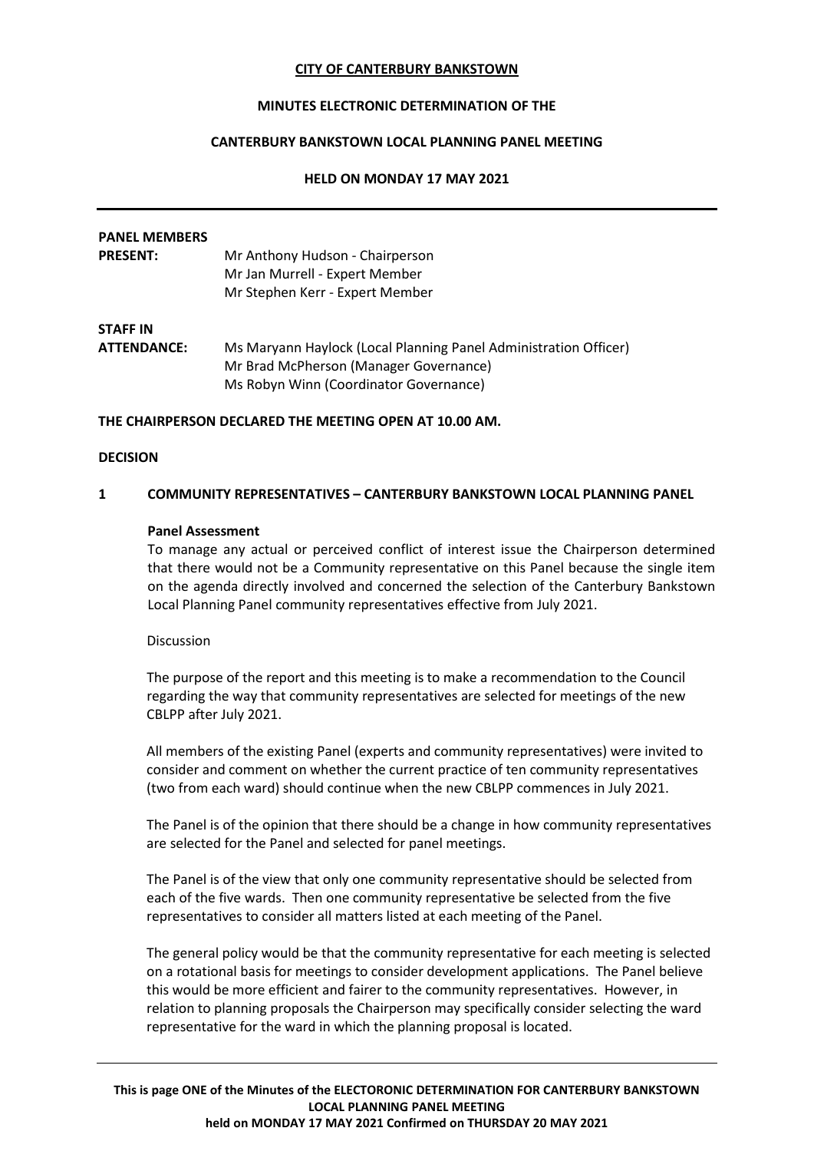## **CITY OF CANTERBURY BANKSTOWN**

# **MINUTES ELECTRONIC DETERMINATION OF THE**

# **CANTERBURY BANKSTOWN LOCAL PLANNING PANEL MEETING**

#### **HELD ON MONDAY 17 MAY 2021**

# **PANEL MEMBERS PRESENT:** Mr Anthony Hudson - Chairperson Mr Jan Murrell - Expert Member Mr Stephen Kerr - Expert Member **STAFF IN ATTENDANCE:** Ms Maryann Haylock (Local Planning Panel Administration Officer) Mr Brad McPherson (Manager Governance) Ms Robyn Winn (Coordinator Governance)

## **THE CHAIRPERSON DECLARED THE MEETING OPEN AT 10.00 AM.**

## **DECISION**

#### **1 COMMUNITY REPRESENTATIVES – CANTERBURY BANKSTOWN LOCAL PLANNING PANEL**

## **Panel Assessment**

To manage any actual or perceived conflict of interest issue the Chairperson determined that there would not be a Community representative on this Panel because the single item on the agenda directly involved and concerned the selection of the Canterbury Bankstown Local Planning Panel community representatives effective from July 2021.

#### Discussion

The purpose of the report and this meeting is to make a recommendation to the Council regarding the way that community representatives are selected for meetings of the new CBLPP after July 2021.

All members of the existing Panel (experts and community representatives) were invited to consider and comment on whether the current practice of ten community representatives (two from each ward) should continue when the new CBLPP commences in July 2021.

The Panel is of the opinion that there should be a change in how community representatives are selected for the Panel and selected for panel meetings.

The Panel is of the view that only one community representative should be selected from each of the five wards. Then one community representative be selected from the five representatives to consider all matters listed at each meeting of the Panel.

The general policy would be that the community representative for each meeting is selected on a rotational basis for meetings to consider development applications. The Panel believe this would be more efficient and fairer to the community representatives. However, in relation to planning proposals the Chairperson may specifically consider selecting the ward representative for the ward in which the planning proposal is located.

**This is page ONE of the Minutes of the ELECTORONIC DETERMINATION FOR CANTERBURY BANKSTOWN LOCAL PLANNING PANEL MEETING held on MONDAY 17 MAY 2021 Confirmed on THURSDAY 20 MAY 2021**